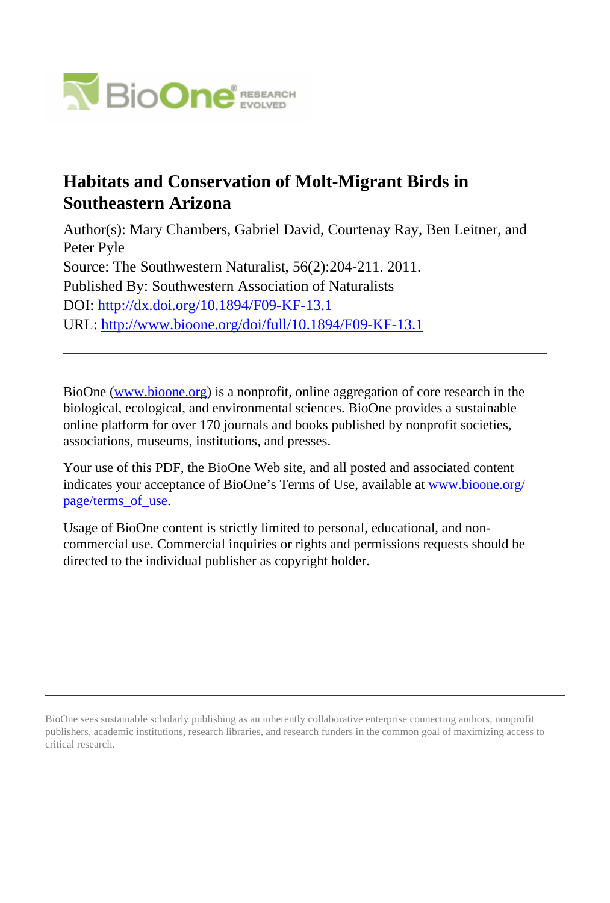

## **Habitats and Conservation of Molt-Migrant Birds in Southeastern Arizona**

Author(s): Mary Chambers, Gabriel David, Courtenay Ray, Ben Leitner, and Peter Pyle Source: The Southwestern Naturalist, 56(2):204-211. 2011. Published By: Southwestern Association of Naturalists DOI:<http://dx.doi.org/10.1894/F09-KF-13.1> URL: <http://www.bioone.org/doi/full/10.1894/F09-KF-13.1>

BioOne [\(www.bioone.org\)](http://www.bioone.org) is a nonprofit, online aggregation of core research in the biological, ecological, and environmental sciences. BioOne provides a sustainable online platform for over 170 journals and books published by nonprofit societies, associations, museums, institutions, and presses.

Your use of this PDF, the BioOne Web site, and all posted and associated content indicates your acceptance of BioOne's Terms of Use, available at [www.bioone.org/](http://www.bioone.org/page/terms_of_use) [page/terms\\_of\\_use](http://www.bioone.org/page/terms_of_use).

Usage of BioOne content is strictly limited to personal, educational, and noncommercial use. Commercial inquiries or rights and permissions requests should be directed to the individual publisher as copyright holder.

BioOne sees sustainable scholarly publishing as an inherently collaborative enterprise connecting authors, nonprofit publishers, academic institutions, research libraries, and research funders in the common goal of maximizing access to critical research.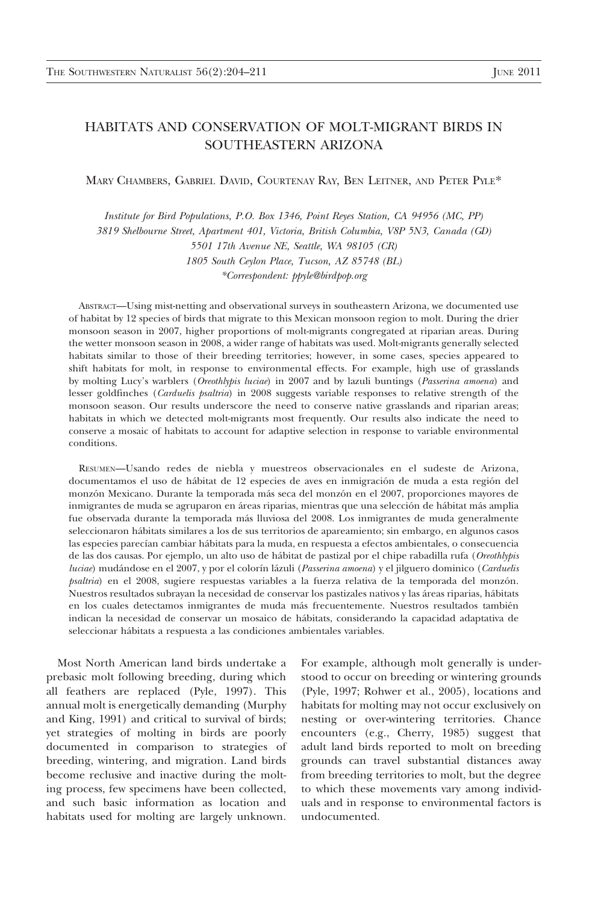## HABITATS AND CONSERVATION OF MOLT-MIGRANT BIRDS IN SOUTHEASTERN ARIZONA

MARY CHAMBERS, GABRIEL DAVID, COURTENAY RAY, BEN LEITNER, AND PETER PYLE\*

Institute for Bird Populations, P.O. Box 1346, Point Reyes Station, CA 94956 (MC, PP) 3819 Shelbourne Street, Apartment 401, Victoria, British Columbia, V8P 5N3, Canada (GD) 5501 17th Avenue NE, Seattle, WA 98105 (CR) 1805 South Ceylon Place, Tucson, AZ 85748 (BL) \*Correspondent: ppyle@birdpop.org

ABSTRACT—Using mist-netting and observational surveys in southeastern Arizona, we documented use of habitat by 12 species of birds that migrate to this Mexican monsoon region to molt. During the drier monsoon season in 2007, higher proportions of molt-migrants congregated at riparian areas. During the wetter monsoon season in 2008, a wider range of habitats was used. Molt-migrants generally selected habitats similar to those of their breeding territories; however, in some cases, species appeared to shift habitats for molt, in response to environmental effects. For example, high use of grasslands by molting Lucy's warblers (Oreothlypis luciae) in 2007 and by lazuli buntings (Passerina amoena) and lesser goldfinches (Carduelis psaltria) in 2008 suggests variable responses to relative strength of the monsoon season. Our results underscore the need to conserve native grasslands and riparian areas; habitats in which we detected molt-migrants most frequently. Our results also indicate the need to conserve a mosaic of habitats to account for adaptive selection in response to variable environmental conditions.

RESUMEN—Usando redes de niebla y muestreos observacionales en el sudeste de Arizona, documentamos el uso de hábitat de 12 especies de aves en inmigración de muda a esta región del monzón Mexicano. Durante la temporada más seca del monzón en el 2007, proporciones mayores de inmigrantes de muda se agruparon en áreas riparias, mientras que una selección de hábitat más amplia fue observada durante la temporada más lluviosa del 2008. Los inmigrantes de muda generalmente seleccionaron hábitats similares a los de sus territorios de apareamiento; sin embargo, en algunos casos las especies parecían cambiar hábitats para la muda, en respuesta a efectos ambientales, o consecuencia de las dos causas. Por ejemplo, un alto uso de hábitat de pastizal por el chipe rabadilla rufa (Oreothlypis luciae) mudándose en el 2007, y por el colorín lázuli (Passerina amoena) y el jilguero dominico (Carduelis psaltria) en el 2008, sugiere respuestas variables a la fuerza relativa de la temporada del monzón. Nuestros resultados subrayan la necesidad de conservar los pastizales nativos y las áreas riparias, hábitats en los cuales detectamos inmigrantes de muda más frecuentemente. Nuestros resultados también indican la necesidad de conservar un mosaico de ha´bitats, considerando la capacidad adaptativa de seleccionar hábitats a respuesta a las condiciones ambientales variables.

Most North American land birds undertake a prebasic molt following breeding, during which all feathers are replaced (Pyle, 1997). This annual molt is energetically demanding (Murphy and King, 1991) and critical to survival of birds; yet strategies of molting in birds are poorly documented in comparison to strategies of breeding, wintering, and migration. Land birds become reclusive and inactive during the molting process, few specimens have been collected, and such basic information as location and habitats used for molting are largely unknown.

For example, although molt generally is understood to occur on breeding or wintering grounds (Pyle, 1997; Rohwer et al., 2005), locations and habitats for molting may not occur exclusively on nesting or over-wintering territories. Chance encounters (e.g., Cherry, 1985) suggest that adult land birds reported to molt on breeding grounds can travel substantial distances away from breeding territories to molt, but the degree to which these movements vary among individuals and in response to environmental factors is undocumented.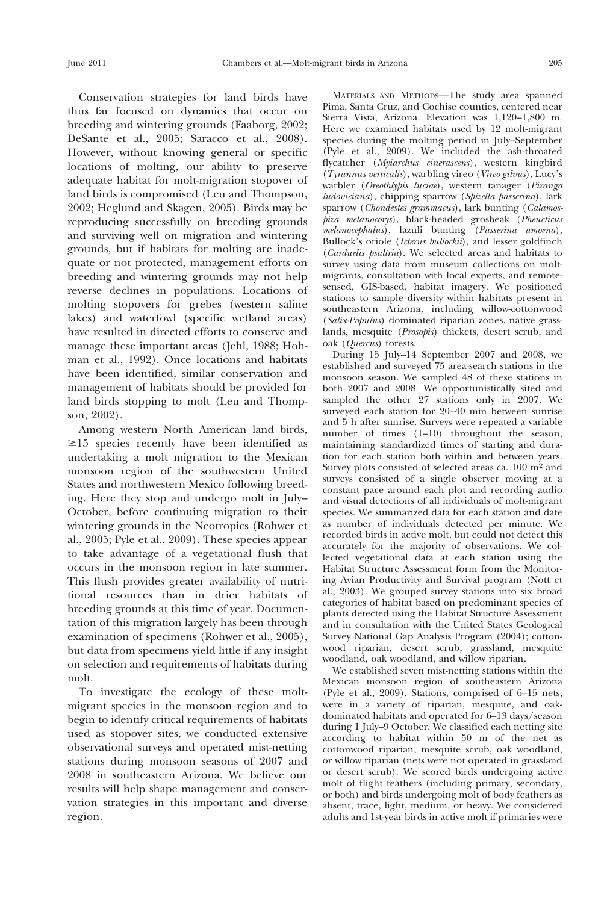Conservation strategies for land birds have thus far focused on dynamics that occur on breeding and wintering grounds (Faaborg, 2002; DeSante et al., 2005; Saracco et al., 2008). However, without knowing general or specific locations of molting, our ability to preserve adequate habitat for molt-migration stopover of land birds is compromised (Leu and Thompson, 2002; Heglund and Skagen, 2005). Birds may be reproducing successfully on breeding grounds and surviving well on migration and wintering grounds, but if habitats for molting are inadequate or not protected, management efforts on breeding and wintering grounds may not help reverse declines in populations. Locations of molting stopovers for grebes (western saline lakes) and waterfowl (specific wetland areas) have resulted in directed efforts to conserve and manage these important areas (Jehl, 1988; Hohman et al., 1992). Once locations and habitats have been identified, similar conservation and management of habitats should be provided for land birds stopping to molt (Leu and Thompson, 2002).

Among western North American land birds,  $\geq$ 15 species recently have been identified as undertaking a molt migration to the Mexican monsoon region of the southwestern United States and northwestern Mexico following breeding. Here they stop and undergo molt in July– October, before continuing migration to their wintering grounds in the Neotropics (Rohwer et al., 2005; Pyle et al., 2009). These species appear to take advantage of a vegetational flush that occurs in the monsoon region in late summer. This flush provides greater availability of nutritional resources than in drier habitats of breeding grounds at this time of year. Documentation of this migration largely has been through examination of specimens (Rohwer et al., 2005), but data from specimens yield little if any insight on selection and requirements of habitats during molt.

To investigate the ecology of these moltmigrant species in the monsoon region and to begin to identify critical requirements of habitats used as stopover sites, we conducted extensive observational surveys and operated mist-netting stations during monsoon seasons of 2007 and 2008 in southeastern Arizona. We believe our results will help shape management and conservation strategies in this important and diverse region.

MATERIALS AND METHODS—The study area spanned Pima, Santa Cruz, and Cochise counties, centered near Sierra Vista, Arizona. Elevation was 1,120–1,800 m. Here we examined habitats used by 12 molt-migrant species during the molting period in July–September (Pyle et al., 2009). We included the ash-throated flycatcher (Myiarchus cinerascens), western kingbird (Tyrannus verticalis), warbling vireo (Vireo gilvus), Lucy's warbler (Oreothlypis luciae), western tanager (Piranga ludoviciana), chipping sparrow (Spizella passerina), lark sparrow (Chondestes grammacus), lark bunting (Calamospiza melanocorys), black-headed grosbeak (Pheucticus melanocephalus), lazuli bunting (Passerina amoena), Bullock's oriole (Icterus bullockii), and lesser goldfinch (Carduelis psaltria). We selected areas and habitats to survey using data from museum collections on moltmigrants, consultation with local experts, and remotesensed, GIS-based, habitat imagery. We positioned stations to sample diversity within habitats present in southeastern Arizona, including willow-cottonwood (Salix-Populus) dominated riparian zones, native grasslands, mesquite (Prosopis) thickets, desert scrub, and oak (Quercus) forests.

During 15 July–14 September 2007 and 2008, we established and surveyed 75 area-search stations in the monsoon season. We sampled 48 of these stations in both 2007 and 2008. We opportunistically sited and sampled the other 27 stations only in 2007. We surveyed each station for 20–40 min between sunrise and 5 h after sunrise. Surveys were repeated a variable number of times (1–10) throughout the season, maintaining standardized times of starting and duration for each station both within and between years. Survey plots consisted of selected areas ca.  $100 \text{ m}^2$  and surveys consisted of a single observer moving at a constant pace around each plot and recording audio and visual detections of all individuals of molt-migrant species. We summarized data for each station and date as number of individuals detected per minute. We recorded birds in active molt, but could not detect this accurately for the majority of observations. We collected vegetational data at each station using the Habitat Structure Assessment form from the Monitoring Avian Productivity and Survival program (Nott et al., 2003). We grouped survey stations into six broad categories of habitat based on predominant species of plants detected using the Habitat Structure Assessment and in consultation with the United States Geological Survey National Gap Analysis Program (2004); cottonwood riparian, desert scrub, grassland, mesquite woodland, oak woodland, and willow riparian.

We established seven mist-netting stations within the Mexican monsoon region of southeastern Arizona (Pyle et al., 2009). Stations, comprised of 6–15 nets, were in a variety of riparian, mesquite, and oakdominated habitats and operated for 6–13 days/season during 1 July–9 October. We classified each netting site according to habitat within 50 m of the net as cottonwood riparian, mesquite scrub, oak woodland, or willow riparian (nets were not operated in grassland or desert scrub). We scored birds undergoing active molt of flight feathers (including primary, secondary, or both) and birds undergoing molt of body feathers as absent, trace, light, medium, or heavy. We considered adults and 1st-year birds in active molt if primaries were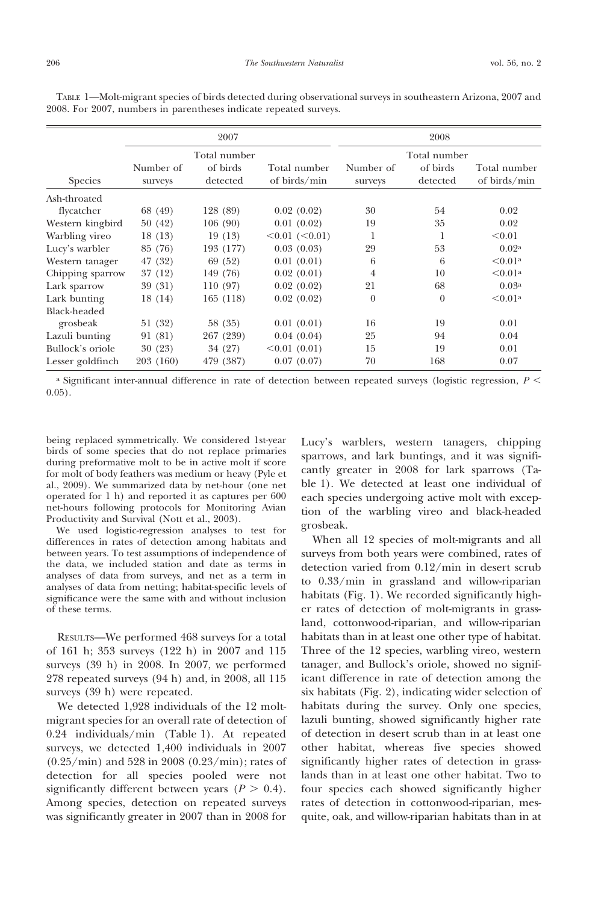TABLE 1—Molt-migrant species of birds detected during observational surveys in southeastern Arizona, 2007 and 2008. For 2007, numbers in parentheses indicate repeated surveys.

|                     | 2007                 |                                      |                              | 2008                 |                                      |                              |
|---------------------|----------------------|--------------------------------------|------------------------------|----------------------|--------------------------------------|------------------------------|
| <b>Species</b>      | Number of<br>surveys | Total number<br>of birds<br>detected | Total number<br>of birds/min | Number of<br>surveys | Total number<br>of birds<br>detected | Total number<br>of birds/min |
| Ash-throated        |                      |                                      |                              |                      |                                      |                              |
| flycatcher          | 68 (49)              | 128 (89)                             | 0.02(0.02)                   | 30                   | 54                                   | 0.02                         |
| Western kingbird    | 50(42)               | 106 (90)                             | 0.01(0.02)                   | 19                   | 35                                   | 0.02                         |
| Warbling vireo      | 18(13)               | 19(13)                               | $<0.01$ $(<0.01$ )           | 1                    | 1                                    | < 0.01                       |
| Lucy's warbler      | 85 (76)              | 193 (177)                            | 0.03(0.03)                   | 29                   | 53                                   | 0.02 <sup>a</sup>            |
| Western tanager     | 47 (32)              | 69 (52)                              | 0.01(0.01)                   | 6                    | 6                                    | < 0.01 <sup>a</sup>          |
| Chipping sparrow    | 37 (12)              | 149 (76)                             | 0.02(0.01)                   | 4                    | 10                                   | < 0.01 <sup>a</sup>          |
| Lark sparrow        | 39 (31)              | 110 (97)                             | 0.02(0.02)                   | 21                   | 68                                   | 0.03 <sup>a</sup>            |
| Lark bunting        | 18 (14)              | 165 (118)                            | 0.02(0.02)                   | $\Omega$             | $\theta$                             | $< 0.01$ <sup>a</sup>        |
| <b>Black-headed</b> |                      |                                      |                              |                      |                                      |                              |
| grosbeak            | 51 (32)              | 58 (35)                              | 0.01(0.01)                   | 16                   | 19                                   | 0.01                         |
| Lazuli bunting      | 91 (81)              | 267 (239)                            | 0.04(0.04)                   | 25                   | 94                                   | 0.04                         |
| Bullock's oriole    | 30(23)               | 34 (27)                              | $< 0.01$ (0.01)              | 15                   | 19                                   | 0.01                         |
| Lesser goldfinch    | 203 (160)            | 479 (387)                            | 0.07(0.07)                   | 70                   | 168                                  | 0.07                         |

a Significant inter-annual difference in rate of detection between repeated surveys (logistic regression,  $P \leq$ 0.05).

being replaced symmetrically. We considered 1st-year birds of some species that do not replace primaries during preformative molt to be in active molt if score for molt of body feathers was medium or heavy (Pyle et al., 2009). We summarized data by net-hour (one net operated for 1 h) and reported it as captures per 600 net-hours following protocols for Monitoring Avian Productivity and Survival (Nott et al., 2003).

We used logistic-regression analyses to test for differences in rates of detection among habitats and between years. To test assumptions of independence of the data, we included station and date as terms in analyses of data from surveys, and net as a term in analyses of data from netting; habitat-specific levels of significance were the same with and without inclusion of these terms.

RESULTS—We performed 468 surveys for a total of 161 h; 353 surveys (122 h) in 2007 and 115 surveys (39 h) in 2008. In 2007, we performed 278 repeated surveys (94 h) and, in 2008, all 115 surveys (39 h) were repeated.

We detected 1,928 individuals of the 12 moltmigrant species for an overall rate of detection of 0.24 individuals/min (Table 1). At repeated surveys, we detected 1,400 individuals in 2007 (0.25/min) and 528 in 2008 (0.23/min); rates of detection for all species pooled were not significantly different between years  $(P > 0.4)$ . Among species, detection on repeated surveys was significantly greater in 2007 than in 2008 for Lucy's warblers, western tanagers, chipping sparrows, and lark buntings, and it was significantly greater in 2008 for lark sparrows (Table 1). We detected at least one individual of each species undergoing active molt with exception of the warbling vireo and black-headed grosbeak.

When all 12 species of molt-migrants and all surveys from both years were combined, rates of detection varied from 0.12/min in desert scrub to 0.33/min in grassland and willow-riparian habitats (Fig. 1). We recorded significantly higher rates of detection of molt-migrants in grassland, cottonwood-riparian, and willow-riparian habitats than in at least one other type of habitat. Three of the 12 species, warbling vireo, western tanager, and Bullock's oriole, showed no significant difference in rate of detection among the six habitats (Fig. 2), indicating wider selection of habitats during the survey. Only one species, lazuli bunting, showed significantly higher rate of detection in desert scrub than in at least one other habitat, whereas five species showed significantly higher rates of detection in grasslands than in at least one other habitat. Two to four species each showed significantly higher rates of detection in cottonwood-riparian, mesquite, oak, and willow-riparian habitats than in at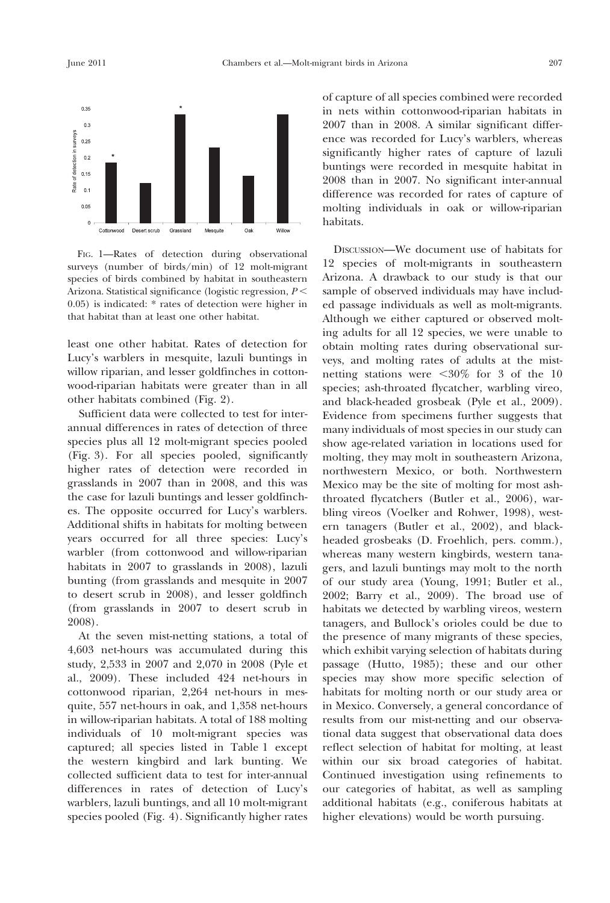

FIG. 1—Rates of detection during observational surveys (number of birds/min) of 12 molt-migrant species of birds combined by habitat in southeastern Arizona. Statistical significance (logistic regression,  $P \leq$ 0.05) is indicated: \* rates of detection were higher in that habitat than at least one other habitat.

least one other habitat. Rates of detection for Lucy's warblers in mesquite, lazuli buntings in willow riparian, and lesser goldfinches in cottonwood-riparian habitats were greater than in all other habitats combined (Fig. 2).

Sufficient data were collected to test for interannual differences in rates of detection of three species plus all 12 molt-migrant species pooled (Fig. 3). For all species pooled, significantly higher rates of detection were recorded in grasslands in 2007 than in 2008, and this was the case for lazuli buntings and lesser goldfinches. The opposite occurred for Lucy's warblers. Additional shifts in habitats for molting between years occurred for all three species: Lucy's warbler (from cottonwood and willow-riparian habitats in 2007 to grasslands in 2008), lazuli bunting (from grasslands and mesquite in 2007 to desert scrub in 2008), and lesser goldfinch (from grasslands in 2007 to desert scrub in 2008).

At the seven mist-netting stations, a total of 4,603 net-hours was accumulated during this study, 2,533 in 2007 and 2,070 in 2008 (Pyle et al., 2009). These included 424 net-hours in cottonwood riparian, 2,264 net-hours in mesquite, 557 net-hours in oak, and 1,358 net-hours in willow-riparian habitats. A total of 188 molting individuals of 10 molt-migrant species was captured; all species listed in Table 1 except the western kingbird and lark bunting. We collected sufficient data to test for inter-annual differences in rates of detection of Lucy's warblers, lazuli buntings, and all 10 molt-migrant species pooled (Fig. 4). Significantly higher rates of capture of all species combined were recorded in nets within cottonwood-riparian habitats in 2007 than in 2008. A similar significant difference was recorded for Lucy's warblers, whereas significantly higher rates of capture of lazuli buntings were recorded in mesquite habitat in 2008 than in 2007. No significant inter-annual difference was recorded for rates of capture of molting individuals in oak or willow-riparian habitats.

DISCUSSION—We document use of habitats for 12 species of molt-migrants in southeastern Arizona. A drawback to our study is that our sample of observed individuals may have included passage individuals as well as molt-migrants. Although we either captured or observed molting adults for all 12 species, we were unable to obtain molting rates during observational surveys, and molting rates of adults at the mistnetting stations were  $<30\%$  for 3 of the 10 species; ash-throated flycatcher, warbling vireo, and black-headed grosbeak (Pyle et al., 2009). Evidence from specimens further suggests that many individuals of most species in our study can show age-related variation in locations used for molting, they may molt in southeastern Arizona, northwestern Mexico, or both. Northwestern Mexico may be the site of molting for most ashthroated flycatchers (Butler et al., 2006), warbling vireos (Voelker and Rohwer, 1998), western tanagers (Butler et al., 2002), and blackheaded grosbeaks (D. Froehlich, pers. comm.), whereas many western kingbirds, western tanagers, and lazuli buntings may molt to the north of our study area (Young, 1991; Butler et al., 2002; Barry et al., 2009). The broad use of habitats we detected by warbling vireos, western tanagers, and Bullock's orioles could be due to the presence of many migrants of these species, which exhibit varying selection of habitats during passage (Hutto, 1985); these and our other species may show more specific selection of habitats for molting north or our study area or in Mexico. Conversely, a general concordance of results from our mist-netting and our observational data suggest that observational data does reflect selection of habitat for molting, at least within our six broad categories of habitat. Continued investigation using refinements to our categories of habitat, as well as sampling additional habitats (e.g., coniferous habitats at higher elevations) would be worth pursuing.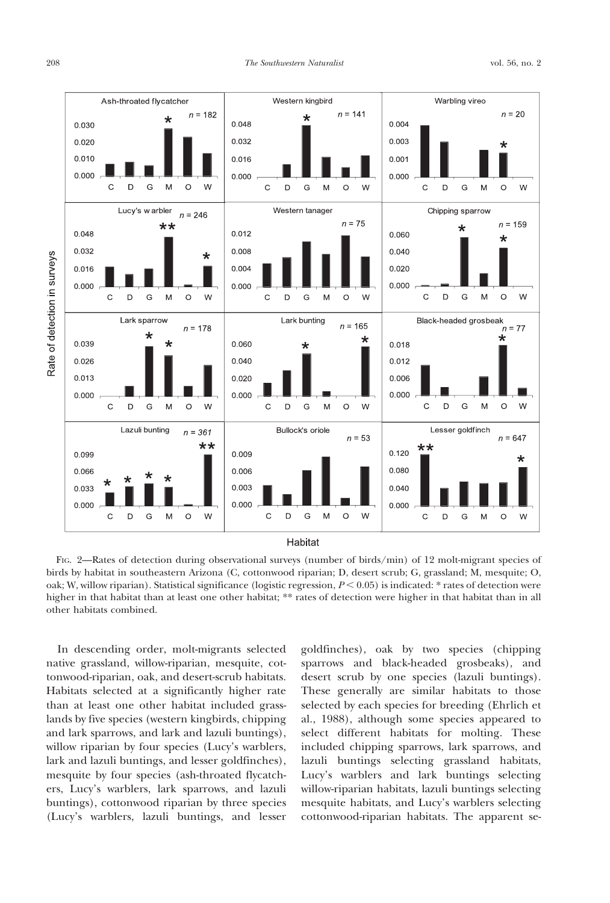

FIG. 2—Rates of detection during observational surveys (number of birds/min) of 12 molt-migrant species of birds by habitat in southeastern Arizona (C, cottonwood riparian; D, desert scrub; G, grassland; M, mesquite; O, oak; W, willow riparian). Statistical significance (logistic regression,  $P < 0.05$ ) is indicated: \* rates of detection were higher in that habitat than at least one other habitat; \*\* rates of detection were higher in that habitat than in all other habitats combined.

In descending order, molt-migrants selected native grassland, willow-riparian, mesquite, cottonwood-riparian, oak, and desert-scrub habitats. Habitats selected at a significantly higher rate than at least one other habitat included grasslands by five species (western kingbirds, chipping and lark sparrows, and lark and lazuli buntings), willow riparian by four species (Lucy's warblers, lark and lazuli buntings, and lesser goldfinches), mesquite by four species (ash-throated flycatchers, Lucy's warblers, lark sparrows, and lazuli buntings), cottonwood riparian by three species (Lucy's warblers, lazuli buntings, and lesser goldfinches), oak by two species (chipping sparrows and black-headed grosbeaks), and desert scrub by one species (lazuli buntings). These generally are similar habitats to those selected by each species for breeding (Ehrlich et al., 1988), although some species appeared to select different habitats for molting. These included chipping sparrows, lark sparrows, and lazuli buntings selecting grassland habitats, Lucy's warblers and lark buntings selecting willow-riparian habitats, lazuli buntings selecting mesquite habitats, and Lucy's warblers selecting cottonwood-riparian habitats. The apparent se-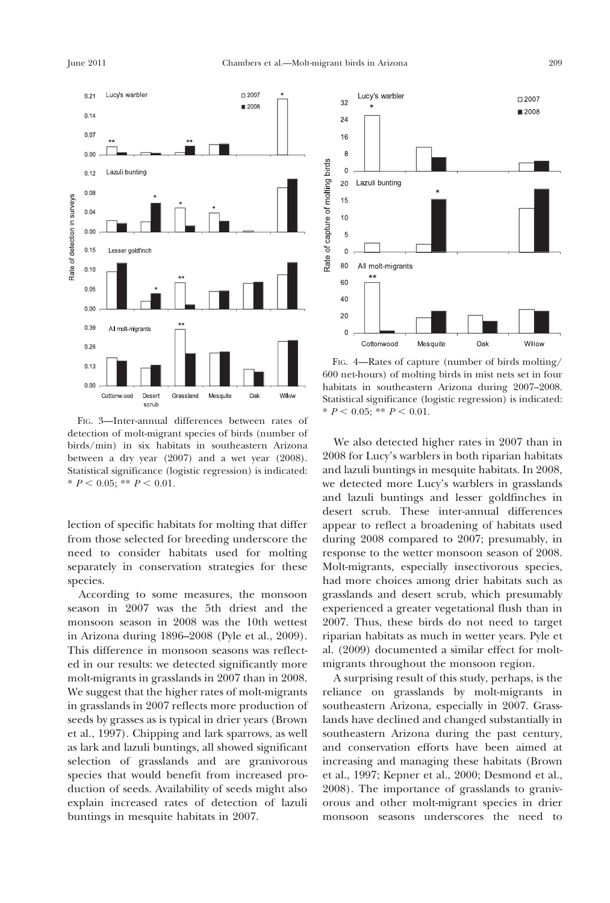

FIG. 3—Inter-annual differences between rates of detection of molt-migrant species of birds (number of birds/min) in six habitats in southeastern Arizona between a dry year (2007) and a wet year (2008). Statistical significance (logistic regression) is indicated: \*  $P < 0.05$ ; \*\*  $P < 0.01$ .

lection of specific habitats for molting that differ from those selected for breeding underscore the need to consider habitats used for molting separately in conservation strategies for these species.

According to some measures, the monsoon season in 2007 was the 5th driest and the monsoon season in 2008 was the 10th wettest in Arizona during 1896–2008 (Pyle et al., 2009). This difference in monsoon seasons was reflected in our results: we detected significantly more molt-migrants in grasslands in 2007 than in 2008. We suggest that the higher rates of molt-migrants in grasslands in 2007 reflects more production of seeds by grasses as is typical in drier years (Brown et al., 1997). Chipping and lark sparrows, as well as lark and lazuli buntings, all showed significant selection of grasslands and are granivorous species that would benefit from increased production of seeds. Availability of seeds might also explain increased rates of detection of lazuli buntings in mesquite habitats in 2007.



FIG. 4—Rates of capture (number of birds molting/ 600 net-hours) of molting birds in mist nets set in four habitats in southeastern Arizona during 2007–2008. Statistical significance (logistic regression) is indicated:  $* P < 0.05$ ;  $* P < 0.01$ .

We also detected higher rates in 2007 than in 2008 for Lucy's warblers in both riparian habitats and lazuli buntings in mesquite habitats. In 2008, we detected more Lucy's warblers in grasslands and lazuli buntings and lesser goldfinches in desert scrub. These inter-annual differences appear to reflect a broadening of habitats used during 2008 compared to 2007; presumably, in response to the wetter monsoon season of 2008. Molt-migrants, especially insectivorous species, had more choices among drier habitats such as grasslands and desert scrub, which presumably experienced a greater vegetational flush than in 2007. Thus, these birds do not need to target riparian habitats as much in wetter years. Pyle et al. (2009) documented a similar effect for moltmigrants throughout the monsoon region.

A surprising result of this study, perhaps, is the reliance on grasslands by molt-migrants in southeastern Arizona, especially in 2007. Grasslands have declined and changed substantially in southeastern Arizona during the past century, and conservation efforts have been aimed at increasing and managing these habitats (Brown et al., 1997; Kepner et al., 2000; Desmond et al., 2008). The importance of grasslands to granivorous and other molt-migrant species in drier monsoon seasons underscores the need to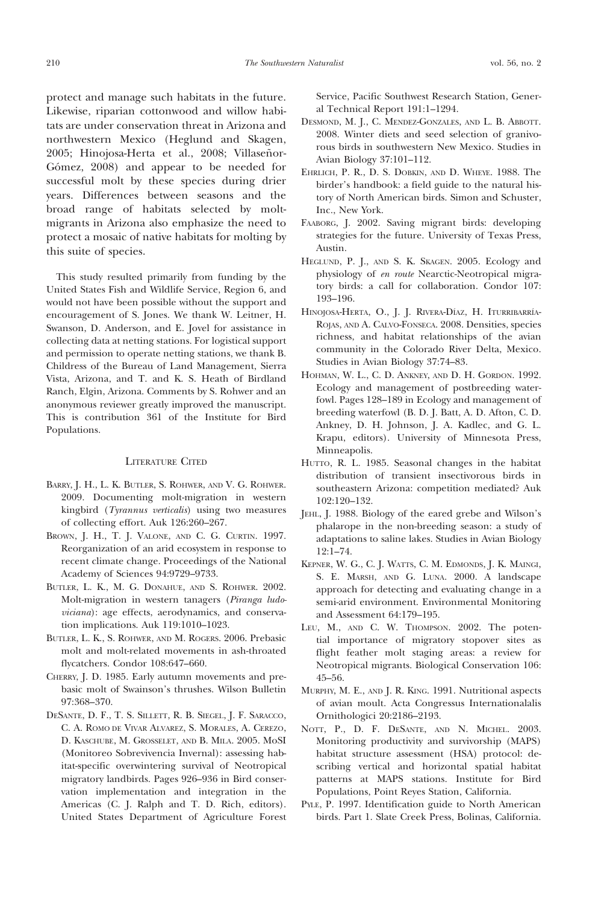protect and manage such habitats in the future. Likewise, riparian cottonwood and willow habitats are under conservation threat in Arizona and northwestern Mexico (Heglund and Skagen, 2005; Hinojosa-Herta et al., 2008; Villaseñor-Gómez, 2008) and appear to be needed for successful molt by these species during drier years. Differences between seasons and the broad range of habitats selected by moltmigrants in Arizona also emphasize the need to protect a mosaic of native habitats for molting by this suite of species.

This study resulted primarily from funding by the United States Fish and Wildlife Service, Region 6, and would not have been possible without the support and encouragement of S. Jones. We thank W. Leitner, H. Swanson, D. Anderson, and E. Jovel for assistance in collecting data at netting stations. For logistical support and permission to operate netting stations, we thank B. Childress of the Bureau of Land Management, Sierra Vista, Arizona, and T. and K. S. Heath of Birdland Ranch, Elgin, Arizona. Comments by S. Rohwer and an anonymous reviewer greatly improved the manuscript. This is contribution 361 of the Institute for Bird Populations.

## LITERATURE CITED

- BARRY, J. H., L. K. BUTLER, S. ROHWER, AND V. G. ROHWER. 2009. Documenting molt-migration in western kingbird (Tyrannus verticalis) using two measures of collecting effort. Auk 126:260–267.
- BROWN, J. H., T. J. VALONE, AND C. G. CURTIN. 1997. Reorganization of an arid ecosystem in response to recent climate change. Proceedings of the National Academy of Sciences 94:9729–9733.
- BUTLER, L. K., M. G. DONAHUE, AND S. ROHWER. 2002. Molt-migration in western tanagers (Piranga ludoviciana): age effects, aerodynamics, and conservation implications. Auk 119:1010–1023.
- BUTLER, L. K., S. ROHWER, AND M. ROGERS. 2006. Prebasic molt and molt-related movements in ash-throated flycatchers. Condor 108:647–660.
- CHERRY, J. D. 1985. Early autumn movements and prebasic molt of Swainson's thrushes. Wilson Bulletin 97:368–370.
- DESANTE, D. F., T. S. SILLETT, R. B. SIEGEL, J. F. SARACCO, C. A. ROMO DE VIVAR ALVAREZ, S. MORALES, A. CEREZO, D. KASCHUBE, M. GROSSELET, AND B. MILA. 2005. MoSI (Monitoreo Sobrevivencia Invernal): assessing habitat-specific overwintering survival of Neotropical migratory landbirds. Pages 926–936 in Bird conservation implementation and integration in the Americas (C. J. Ralph and T. D. Rich, editors). United States Department of Agriculture Forest

Service, Pacific Southwest Research Station, General Technical Report 191:1–1294.

- DESMOND, M. J., C. MENDEZ-GONZALES, AND L. B. ABBOTT. 2008. Winter diets and seed selection of granivorous birds in southwestern New Mexico. Studies in Avian Biology 37:101–112.
- EHRLICH, P. R., D. S. DOBKIN, AND D. WHEYE. 1988. The birder's handbook: a field guide to the natural history of North American birds. Simon and Schuster, Inc., New York.
- FAABORG, J. 2002. Saving migrant birds: developing strategies for the future. University of Texas Press, Austin.
- HEGLUND, P. J., AND S. K. SKAGEN. 2005. Ecology and physiology of en route Nearctic-Neotropical migratory birds: a call for collaboration. Condor 107: 193–196.
- Hinojosa-Herta, O., J. J. Rivera-Díaz, H. Iturribarría-ROJAS, AND A. CALVO-FONSECA. 2008. Densities, species richness, and habitat relationships of the avian community in the Colorado River Delta, Mexico. Studies in Avian Biology 37:74–83.
- HOHMAN, W. L., C. D. ANKNEY, AND D. H. GORDON. 1992. Ecology and management of postbreeding waterfowl. Pages 128–189 in Ecology and management of breeding waterfowl (B. D. J. Batt, A. D. Afton, C. D. Ankney, D. H. Johnson, J. A. Kadlec, and G. L. Krapu, editors). University of Minnesota Press, Minneapolis.
- HUTTO, R. L. 1985. Seasonal changes in the habitat distribution of transient insectivorous birds in southeastern Arizona: competition mediated? Auk 102:120–132.
- JEHL, J. 1988. Biology of the eared grebe and Wilson's phalarope in the non-breeding season: a study of adaptations to saline lakes. Studies in Avian Biology 12:1–74.
- KEPNER, W. G., C. J. WATTS, C. M. EDMONDS, J. K. MAINGI, S. E. MARSH, AND G. LUNA. 2000. A landscape approach for detecting and evaluating change in a semi-arid environment. Environmental Monitoring and Assessment 64:179–195.
- LEU, M., AND C. W. THOMPSON. 2002. The potential importance of migratory stopover sites as flight feather molt staging areas: a review for Neotropical migrants. Biological Conservation 106: 45–56.
- MURPHY, M. E., AND J. R. KING. 1991. Nutritional aspects of avian moult. Acta Congressus Internationalalis Ornithologici 20:2186–2193.
- NOTT, P., D. F. DESANTE, AND N. MICHEL. 2003. Monitoring productivity and survivorship (MAPS) habitat structure assessment (HSA) protocol: describing vertical and horizontal spatial habitat patterns at MAPS stations. Institute for Bird Populations, Point Reyes Station, California.
- PYLE, P. 1997. Identification guide to North American birds. Part 1. Slate Creek Press, Bolinas, California.